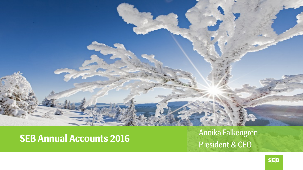

# **SEB Annual Accounts 2016** Annika Falkengren

President & CEO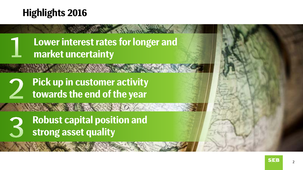## **Highlights 2016**

**Lower interest rates for longer and market uncertainty** 

**ANTIBERY OF** 

**Pick up in customer activity towards the end of the year** 

**Robust capital position and strong asset quality**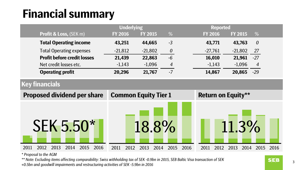## **Financial summary**

|                                    | <b>Underlying</b> |                             |                       |                           | <b>Reported</b>            |  |  |
|------------------------------------|-------------------|-----------------------------|-----------------------|---------------------------|----------------------------|--|--|
| <b>Profit &amp; Loss, (SEK m)</b>  | <b>FY 2016</b>    | <b>FY 2015</b>              | %                     | <b>FY 2016</b>            | %<br><b>FY 2015</b>        |  |  |
| <b>Total Operating income</b>      | 43,251            | 44,665                      | $-3$                  | 43,771                    | $\theta$<br>43,763         |  |  |
| <b>Total Operating expenses</b>    | $-21,812$         | $-21,802$                   | $\boldsymbol{\theta}$ | $-27,761$                 | $-21,802$<br>27            |  |  |
| <b>Profit before credit losses</b> | 21,439            | 22,863                      | $-6$                  | 16,010                    | 21,961<br>$-27$            |  |  |
| Net credit losses etc.             | $-1,143$          | $-1,096$                    | 4                     | $-1,143$                  | $-1,096$<br>$\overline{4}$ |  |  |
| <b>Operating profit</b>            | 20,296            | 21,767                      | $-7$                  | 14,867                    | 20,865<br>$-29$            |  |  |
| <b>Key financials</b>              |                   |                             |                       |                           |                            |  |  |
| <b>Proposed dividend per share</b> |                   | <b>Common Equity Tier 1</b> |                       | <b>Return on Equity**</b> |                            |  |  |
|                                    |                   |                             |                       |                           |                            |  |  |
| <b>SEK 5.50*</b>                   |                   | 18.8%                       |                       |                           | 11.3%                      |  |  |

*\* Proposal to the AGM*

*\*\* Note: Excluding items affecting comparability: Swiss withholding tax of SEK -0.9bn in 2015, SEB Baltic Visa transaction of SEK +0.5bn and goodwill impairments and restructuring activities of SEK -5.9bn in 2016*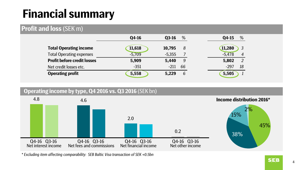## **Financial summary**

#### **Profit and loss** (SEK m)

|                                    | 04-16    | %<br>$Q3-16$ | %<br>04-15                 |
|------------------------------------|----------|--------------|----------------------------|
| <b>Total Operating income</b>      | 11,618   | 10,795<br>8  | 11,280<br>3                |
| <b>Total Operating expenses</b>    | $-5,709$ | $-5,355$     | $-5,478$<br>$\overline{4}$ |
| <b>Profit before credit losses</b> | 5,909    | 5,440<br>9   | 2<br>5,802                 |
| Net credit losses etc.             | $-351$   | $-211$<br>66 | $-297$<br>18               |
| <b>Operating profit</b>            | 5,558    | 6<br>5,229   | 5,505                      |



*\* Excluding item affecting comparability: SEB Baltic Visa transaction of SEK +0.5bn*

**SEB**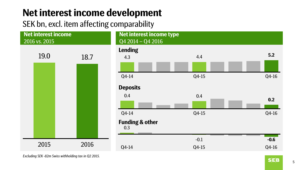## **Net interest income development**

SEK bn, excl. item affecting comparability



*Excluding SEK -82m Swiss withholding tax in Q2 2015.*

 $S$  $E$  $B$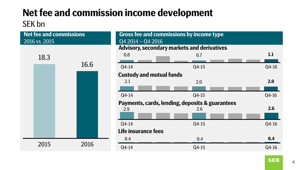### **Net fee and commission income development** SEK bn

| 2016 vs. 2015 | <b>Net fee and commissions</b> | $Q42014 - Q42016$   | Gross fee and commissions by income type        |       |
|---------------|--------------------------------|---------------------|-------------------------------------------------|-------|
|               |                                |                     | Advisory, secondary markets and derivatives     |       |
| 18.3          |                                | 0.8                 | 0.7                                             | 1.1   |
|               | 16.6                           | $Q4-14$             | $Q4-15$                                         | Q4-16 |
|               |                                |                     | <b>Custody and mutual funds</b>                 |       |
|               |                                | 2.1                 | 2.0                                             | 2.0   |
|               |                                |                     |                                                 |       |
|               |                                | Q4-14               | Q4-15                                           | Q4-16 |
|               |                                |                     | Payments, cards, lending, deposits & guarantees |       |
|               |                                | 2.9                 | 2.6                                             | 2.6   |
|               |                                |                     |                                                 |       |
|               |                                | Q4-14               | $Q4-15$                                         | Q4-16 |
|               |                                | Life insurance fees |                                                 |       |
|               |                                | 0.4                 | 0.4                                             | 0.4   |
| 2015          | 2016                           | Q4-14               | $Q4-15$                                         | Q4-16 |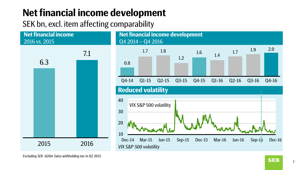## **Net financial income development**

SEK bn, excl. item affecting comparability



*Excluding SEK -820m Swiss withholding tax in Q2 2015.*

7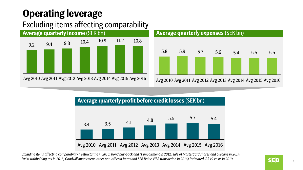## **Operating leverage**

### Excluding items affecting comparability

![](_page_7_Figure_2.jpeg)

![](_page_7_Figure_3.jpeg)

Avg 2010 Avg 2011 Avg 2012 Avg 2013 Avg 2014 Avg 2015 Avg 2016

![](_page_7_Figure_5.jpeg)

*Excluding items affecting comparability (restructuring in 2010, bond buy-back and IT impairment in 2012, sale of MasterCard shares and Euroline in 2014, Swiss withholding tax in 2015, Goodwill impairment, other one-off cost items and SEB Baltic VISA transaction in 2016) Estimated IAS 19 costs in 2010*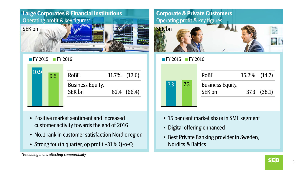![](_page_8_Picture_0.jpeg)

#### **FY 2015** FY 2016

| 10.9 | 9.5 | <b>RoBE</b>                       | $11.7\%$ $(12.6)$ |
|------|-----|-----------------------------------|-------------------|
|      |     | <b>Business Equity,</b><br>SEK bn | 62.4 (66.4)       |

- Positive market sentiment and increased customer activity towards the end of 2016
- No. 1 rank in customer satisfaction Nordic region
- Strong fourth quarter, op.profit +31% Q-o-Q

#### **Corporate & Private Customers** Operating profit & key figures

![](_page_8_Picture_8.jpeg)

#### $\blacksquare$  FY 2015  $\blacksquare$  FY 2016

|     |     | <b>RoBE</b>                       | 15.2% (14.7) |                 |
|-----|-----|-----------------------------------|--------------|-----------------|
| 7.3 | 7.3 | <b>Business Equity,</b><br>SEK bn |              | $37.3$ $(38.1)$ |
|     |     |                                   |              |                 |

- 15 per cent market share in SME segment
- Digital offering enhanced
- Best Private Banking provider in Sweden, Nordics & Baltics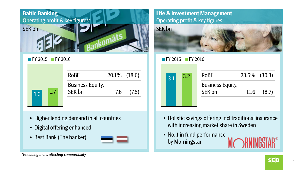![](_page_9_Picture_0.jpeg)

**FY 2015** FY 2016

|            | <b>RoBE</b>                       | 20.1% (18.6) |       |
|------------|-----------------------------------|--------------|-------|
| 1.7<br>1.6 | <b>Business Equity,</b><br>SEK bn | 7.6          | (7.5) |

- Higher lending demand in all countries
- Digital offering enhanced
- Best Bank (The banker)

![](_page_9_Picture_6.jpeg)

#### **Life & Investment Management** Operating profit & key figures

![](_page_9_Picture_8.jpeg)

#### FY 2015 FY 2016

![](_page_9_Figure_10.jpeg)

- Holistic savings offering incl traditional insurance with increasing market share in Sweden
- No. 1 in fund performance by Morningstar

![](_page_9_Picture_13.jpeg)

10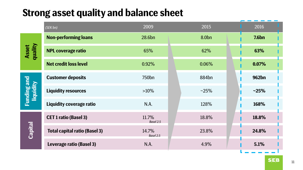## **Strong asset quality and balance sheet**

|                                        | (SEK bn)                             | 2009               | 2015    | 2016              |
|----------------------------------------|--------------------------------------|--------------------|---------|-------------------|
| <b>Asset</b><br>quality                | <b>Non-performing loans</b>          | 28.6bn             | 8.0bn   | 7.6 <sub>bn</sub> |
|                                        | <b>NPL coverage ratio</b>            | 65%                | 62%     | 63%               |
|                                        | <b>Net credit loss level</b>         | 0.92%              | 0.06%   | 0.07%             |
| <b>Funding and</b><br><b>liquidity</b> | <b>Customer deposits</b>             | 750 <sub>bn</sub>  | 884bn   | 962bn             |
|                                        | <b>Liquidity resources</b>           | $>10\%$            | $~25\%$ | $-25%$            |
|                                        | Liquidity coverage ratio             | N.A.               | 128%    | 168%              |
| Capital                                | <b>CET 1 ratio (Basel 3)</b>         | 11.7%<br>Basel 2.5 | 18.8%   | 18.8%             |
|                                        | <b>Total capital ratio (Basel 3)</b> | 14.7%<br>Basel 2.5 | 23.8%   | 24.8%             |
|                                        | Leverage ratio (Basel 3)             | N.A.               | 4.9%    | 5.1%              |

**SEB**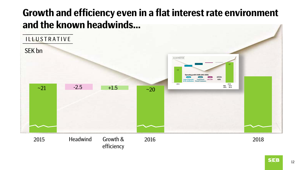## **Growth and efficiency even in a flat interest rate environment and the known headwinds…**

![](_page_11_Figure_1.jpeg)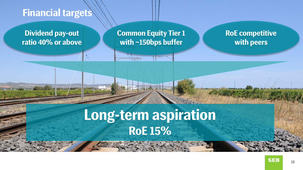### **Financial targets**

**Dividend pay-out ratio 40% or above** **Common Equity Tier 1 with ~150bps buffer**

**RoE competitive with peers**

# **Long-term aspiration RoE 15%**

The same of the same

![](_page_12_Picture_5.jpeg)